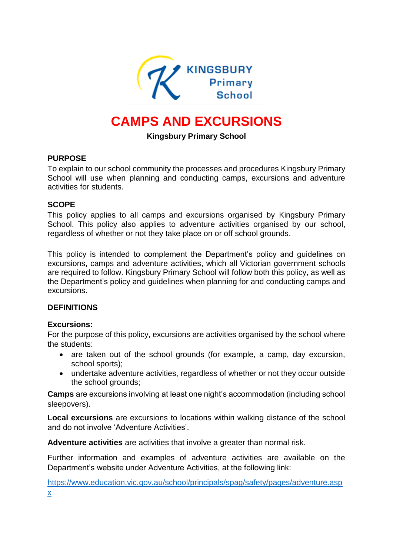

# **CAMPS AND EXCURSIONS**

## **Kingsbury Primary School**

## **PURPOSE**

To explain to our school community the processes and procedures Kingsbury Primary School will use when planning and conducting camps, excursions and adventure activities for students.

## **SCOPE**

This policy applies to all camps and excursions organised by Kingsbury Primary School. This policy also applies to adventure activities organised by our school, regardless of whether or not they take place on or off school grounds.

This policy is intended to complement the Department's policy and guidelines on excursions, camps and adventure activities, which all Victorian government schools are required to follow. Kingsbury Primary School will follow both this policy, as well as the Department's policy and guidelines when planning for and conducting camps and excursions.

#### **DEFINITIONS**

#### **Excursions:**

For the purpose of this policy, excursions are activities organised by the school where the students:

- are taken out of the school grounds (for example, a camp, day excursion, school sports);
- undertake adventure activities, regardless of whether or not they occur outside the school grounds;

**Camps** are excursions involving at least one night's accommodation (including school sleepovers).

**Local excursions** are excursions to locations within walking distance of the school and do not involve 'Adventure Activities'.

**Adventure activities** are activities that involve a greater than normal risk.

Further information and examples of adventure activities are available on the Department's website under Adventure Activities, at the following link:

[https://www.education.vic.gov.au/school/principals/spag/safety/pages/adventure.asp](https://www.education.vic.gov.au/school/principals/spag/safety/pages/adventure.aspx) [x](https://www.education.vic.gov.au/school/principals/spag/safety/pages/adventure.aspx)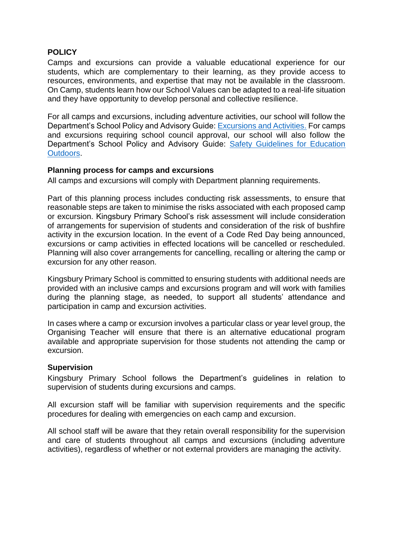### **POLICY**

Camps and excursions can provide a valuable educational experience for our students, which are complementary to their learning, as they provide access to resources, environments, and expertise that may not be available in the classroom. On Camp, students learn how our School Values can be adapted to a real-life situation and they have opportunity to develop personal and collective resilience.

For all camps and excursions, including adventure activities, our school will follow the Department's School Policy and Advisory Guide: **Excursions and Activities**. For camps and excursions requiring school council approval, our school will also follow the Department's School Policy and Advisory Guide: [Safety Guidelines for Education](https://www.education.vic.gov.au/school/teachers/studentmanagement/excursions/Pages/outdoorguidelines.aspx)  [Outdoors.](https://www.education.vic.gov.au/school/teachers/studentmanagement/excursions/Pages/outdoorguidelines.aspx)

#### **Planning process for camps and excursions**

All camps and excursions will comply with Department planning requirements.

Part of this planning process includes conducting risk assessments, to ensure that reasonable steps are taken to minimise the risks associated with each proposed camp or excursion. Kingsbury Primary School's risk assessment will include consideration of arrangements for supervision of students and consideration of the risk of bushfire activity in the excursion location. In the event of a Code Red Day being announced, excursions or camp activities in effected locations will be cancelled or rescheduled. Planning will also cover arrangements for cancelling, recalling or altering the camp or excursion for any other reason.

Kingsbury Primary School is committed to ensuring students with additional needs are provided with an inclusive camps and excursions program and will work with families during the planning stage, as needed, to support all students' attendance and participation in camp and excursion activities.

In cases where a camp or excursion involves a particular class or year level group, the Organising Teacher will ensure that there is an alternative educational program available and appropriate supervision for those students not attending the camp or excursion.

#### **Supervision**

Kingsbury Primary School follows the Department's guidelines in relation to supervision of students during excursions and camps.

All excursion staff will be familiar with supervision requirements and the specific procedures for dealing with emergencies on each camp and excursion.

All school staff will be aware that they retain overall responsibility for the supervision and care of students throughout all camps and excursions (including adventure activities), regardless of whether or not external providers are managing the activity.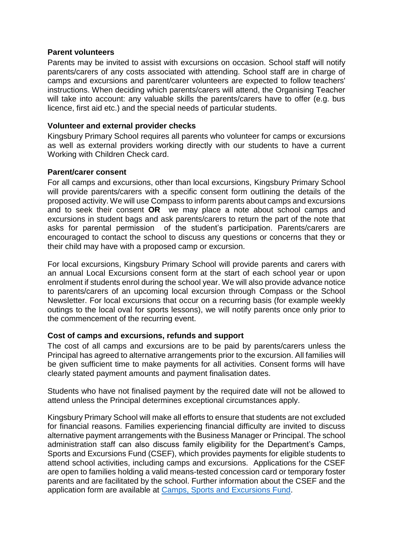#### **Parent volunteers**

Parents may be invited to assist with excursions on occasion. School staff will notify parents/carers of any costs associated with attending. School staff are in charge of camps and excursions and parent/carer volunteers are expected to follow teachers' instructions. When deciding which parents/carers will attend, the Organising Teacher will take into account: any valuable skills the parents/carers have to offer (e.g. bus licence, first aid etc.) and the special needs of particular students.

#### **Volunteer and external provider checks**

Kingsbury Primary School requires all parents who volunteer for camps or excursions as well as external providers working directly with our students to have a current Working with Children Check card.

#### **Parent/carer consent**

For all camps and excursions, other than local excursions, Kingsbury Primary School will provide parents/carers with a specific consent form outlining the details of the proposed activity. We will use Compass to inform parents about camps and excursions and to seek their consent **OR** we may place a note about school camps and excursions in student bags and ask parents/carers to return the part of the note that asks for parental permission of the student's participation. Parents/carers are encouraged to contact the school to discuss any questions or concerns that they or their child may have with a proposed camp or excursion.

For local excursions, Kingsbury Primary School will provide parents and carers with an annual Local Excursions consent form at the start of each school year or upon enrolment if students enrol during the school year. We will also provide advance notice to parents/carers of an upcoming local excursion through Compass or the School Newsletter. For local excursions that occur on a recurring basis (for example weekly outings to the local oval for sports lessons), we will notify parents once only prior to the commencement of the recurring event.

#### **Cost of camps and excursions, refunds and support**

The cost of all camps and excursions are to be paid by parents/carers unless the Principal has agreed to alternative arrangements prior to the excursion. All families will be given sufficient time to make payments for all activities. Consent forms will have clearly stated payment amounts and payment finalisation dates.

Students who have not finalised payment by the required date will not be allowed to attend unless the Principal determines exceptional circumstances apply.

Kingsbury Primary School will make all efforts to ensure that students are not excluded for financial reasons. Families experiencing financial difficulty are invited to discuss alternative payment arrangements with the Business Manager or Principal. The school administration staff can also discuss family eligibility for the Department's Camps, Sports and Excursions Fund (CSEF), which provides payments for eligible students to attend school activities, including camps and excursions. Applications for the CSEF are open to families holding a valid means-tested concession card or temporary foster parents and are facilitated by the school. Further information about the CSEF and the application form are available at [Camps, Sports and Excursions Fund.](http://www.education.vic.gov.au/about/programs/Pages/csef.aspx)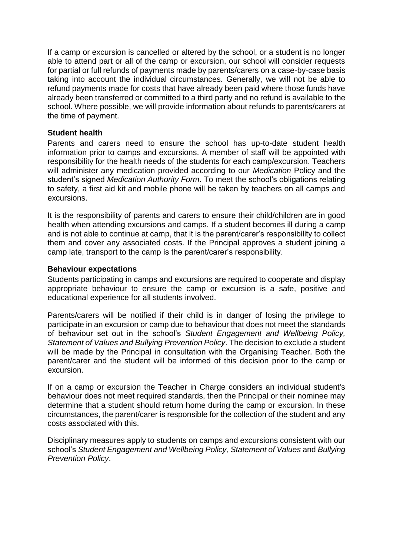If a camp or excursion is cancelled or altered by the school, or a student is no longer able to attend part or all of the camp or excursion, our school will consider requests for partial or full refunds of payments made by parents/carers on a case-by-case basis taking into account the individual circumstances. Generally, we will not be able to refund payments made for costs that have already been paid where those funds have already been transferred or committed to a third party and no refund is available to the school. Where possible, we will provide information about refunds to parents/carers at the time of payment.

### **Student health**

Parents and carers need to ensure the school has up-to-date student health information prior to camps and excursions. A member of staff will be appointed with responsibility for the health needs of the students for each camp/excursion. Teachers will administer any medication provided according to our *Medication* Policy and the student's signed *Medication Authority Form*. To meet the school's obligations relating to safety, a first aid kit and mobile phone will be taken by teachers on all camps and excursions.

It is the responsibility of parents and carers to ensure their child/children are in good health when attending excursions and camps. If a student becomes ill during a camp and is not able to continue at camp, that it is the parent/carer's responsibility to collect them and cover any associated costs. If the Principal approves a student joining a camp late, transport to the camp is the parent/carer's responsibility.

#### **Behaviour expectations**

Students participating in camps and excursions are required to cooperate and display appropriate behaviour to ensure the camp or excursion is a safe, positive and educational experience for all students involved.

Parents/carers will be notified if their child is in danger of losing the privilege to participate in an excursion or camp due to behaviour that does not meet the standards of behaviour set out in the school's *Student Engagement and Wellbeing Policy, Statement of Values and Bullying Prevention Policy*. The decision to exclude a student will be made by the Principal in consultation with the Organising Teacher. Both the parent/carer and the student will be informed of this decision prior to the camp or excursion.

If on a camp or excursion the Teacher in Charge considers an individual student's behaviour does not meet required standards, then the Principal or their nominee may determine that a student should return home during the camp or excursion. In these circumstances, the parent/carer is responsible for the collection of the student and any costs associated with this.

Disciplinary measures apply to students on camps and excursions consistent with our school's *Student Engagement and Wellbeing Policy, Statement of Values* and *Bullying Prevention Policy*.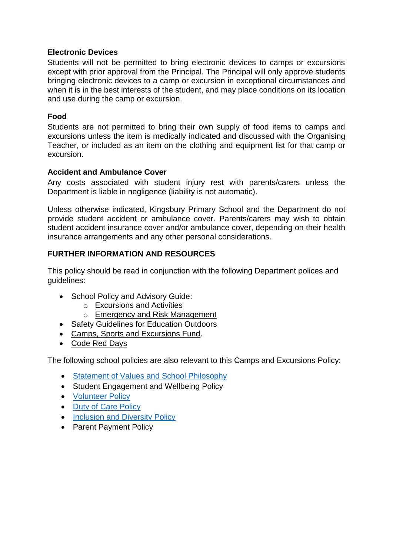## **Electronic Devices**

Students will not be permitted to bring electronic devices to camps or excursions except with prior approval from the Principal. The Principal will only approve students bringing electronic devices to a camp or excursion in exceptional circumstances and when it is in the best interests of the student, and may place conditions on its location and use during the camp or excursion.

## **Food**

Students are not permitted to bring their own supply of food items to camps and excursions unless the item is medically indicated and discussed with the Organising Teacher, or included as an item on the clothing and equipment list for that camp or excursion.

## **Accident and Ambulance Cover**

Any costs associated with student injury rest with parents/carers unless the Department is liable in negligence (liability is not automatic).

Unless otherwise indicated, Kingsbury Primary School and the Department do not provide student accident or ambulance cover. Parents/carers may wish to obtain student accident insurance cover and/or ambulance cover, depending on their health insurance arrangements and any other personal considerations.

## **FURTHER INFORMATION AND RESOURCES**

This policy should be read in conjunction with the following Department polices and guidelines:

- School Policy and Advisory Guide:
	- o [Excursions and Activities](http://www.education.vic.gov.au/school/principals/spag/safety/Pages/excursions.aspx)
	- o [Emergency and Risk Management](http://www.education.vic.gov.au/school/principals/spag/safety/Pages/excursionsafety.aspx)
- [Safety Guidelines for Education Outdoors](https://www.education.vic.gov.au/school/teachers/studentmanagement/excursions/Pages/outdoorguidelines.aspx)
- [Camps, Sports and Excursions Fund.](http://www.education.vic.gov.au/about/programs/Pages/csef.aspx)
- [Code Red Days](https://www.education.vic.gov.au/about/programs/health/Pages/coderedabout.aspx)

The following school policies are also relevant to this Camps and Excursions Policy:

- [Statement of Values and School Philosophy](Final%20for%20all%20publications%20including%20website%20uploads%20(PDF)/Statement%20of%20Values%20March%202020.pdf)
- Student Engagement and Wellbeing Policy
- **[Volunteer Policy](Final%20for%20all%20publications%20including%20website%20uploads%20(PDF)/Volunteers%20Policy%202020.pdf)**
- [Duty of Care Policy](Duty%20of%20Care%20Policy%202020.pdf)
- [Inclusion and Diversity Policy](Inclusion%20and%20Diversity%20Policy%202020.pdf)
- Parent Payment Policy